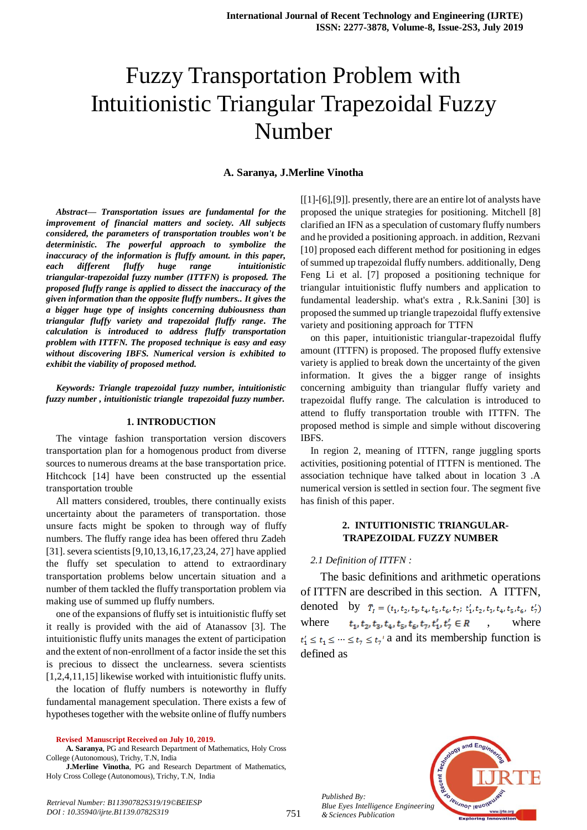# Fuzzy Transportation Problem with Intuitionistic Triangular Trapezoidal Fuzzy Number

#### **A. Saranya, J.Merline Vinotha**

*Abstract***—** *Transportation issues are fundamental for the improvement of financial matters and society. All subjects considered, the parameters of transportation troubles won't be deterministic. The powerful approach to symbolize the inaccuracy of the information is fluffy amount. in this paper, each different fluffy huge range intuitionistic triangular-trapezoidal fuzzy number (ITTFN) is proposed. The proposed fluffy range is applied to dissect the inaccuracy of the given information than the opposite fluffy numbers.. It gives the a bigger huge type of insights concerning dubiousness than triangular fluffy variety and trapezoidal fluffy range. The calculation is introduced to address fluffy transportation problem with ITTFN. The proposed technique is easy and easy without discovering IBFS. Numerical version is exhibited to exhibit the viability of proposed method.*

*Keywords: Triangle trapezoidal fuzzy number, intuitionistic fuzzy number , intuitionistic triangle trapezoidal fuzzy number.*

#### **1. INTRODUCTION**

The vintage fashion transportation version discovers transportation plan for a homogenous product from diverse sources to numerous dreams at the base transportation price. Hitchcock [14] have been constructed up the essential transportation trouble

All matters considered, troubles, there continually exists uncertainty about the parameters of transportation. those unsure facts might be spoken to through way of fluffy numbers. The fluffy range idea has been offered thru Zadeh [31]. severa scientists [9,10,13,16,17,23,24, 27] have applied the fluffy set speculation to attend to extraordinary transportation problems below uncertain situation and a number of them tackled the fluffy transportation problem via making use of summed up fluffy numbers.

one of the expansions of fluffy set is intuitionistic fluffy set it really is provided with the aid of Atanassov [3]. The intuitionistic fluffy units manages the extent of participation and the extent of non-enrollment of a factor inside the set this is precious to dissect the unclearness. severa scientists [1,2,4,11,15] likewise worked with intuitionistic fluffy units.

the location of fluffy numbers is noteworthy in fluffy fundamental management speculation. There exists a few of hypotheses together with the website online of fluffy numbers

**Revised Manuscript Received on July 10, 2019.**

**A. Saranya**, PG and Research Department of Mathematics, Holy Cross College (Autonomous), Trichy, T.N, India

**J.Merline Vinotha**, PG and Research Department of Mathematics, Holy Cross College (Autonomous), Trichy, T.N, India

[[1]-[6],[9]]. presently, there are an entire lot of analysts have proposed the unique strategies for positioning. Mitchell [8] clarified an IFN as a speculation of customary fluffy numbers and he provided a positioning approach. in addition, Rezvani [10] proposed each different method for positioning in edges of summed up trapezoidal fluffy numbers. additionally, Deng Feng Li et al. [7] proposed a positioning technique for triangular intuitionistic fluffy numbers and application to fundamental leadership. what's extra , R.k.Sanini [30] is proposed the summed up triangle trapezoidal fluffy extensive variety and positioning approach for TTFN

on this paper, intuitionistic triangular-trapezoidal fluffy amount (ITTFN) is proposed. The proposed fluffy extensive variety is applied to break down the uncertainty of the given information. It gives the a bigger range of insights concerning ambiguity than triangular fluffy variety and trapezoidal fluffy range. The calculation is introduced to attend to fluffy transportation trouble with ITTFN. The proposed method is simple and simple without discovering IBFS.

In region 2, meaning of ITTFN, range juggling sports activities, positioning potential of ITTFN is mentioned. The association technique have talked about in location 3 .A numerical version is settled in section four. The segment five has finish of this paper.

# **2. INTUITIONISTIC TRIANGULAR-TRAPEZOIDAL FUZZY NUMBER**

#### *2.1 Definition of ITTFN :*

The basic definitions and arithmetic operations of ITTFN are described in this section. A ITTFN, denoted by  $\bar{T}_1 = (t_1, t_2, t_3, t_4, t_5, t_6, t_7; t_1', t_2, t_3, t_4, t_5, t_6, t_7')$ where  $t_1, t_2, t_3, t_4, t_5, t_6, t_7, t'_1, t'_7 \in R$ , where  $t'_1 \le t_1 \le \dots \le t_7 \le t_7$ ' a and its membership function is defined as



*Published By: Blue Eyes Intelligence Engineering & Sciences Publication* 

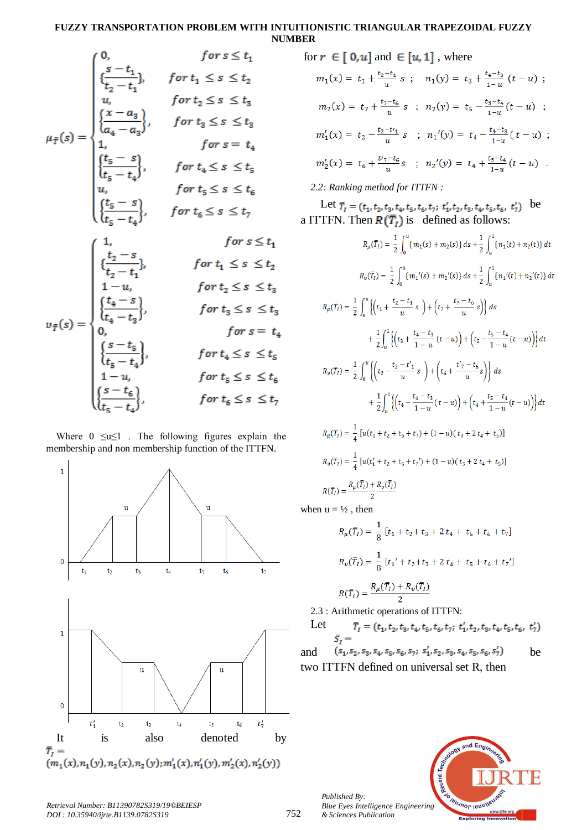# **FUZZY TRANSPORTATION PROBLEM WITH INTUITIONISTIC TRIANGULAR TRAPEZOIDAL FUZZY NUMBER**

$$
\mu_{\overline{f}}(s) = \begin{cases}\n0, & \text{for } s \leq t_1 \\
\{\frac{s-t_1}{t_2-t_1}\}, & \text{for } t_1 \leq s \leq t_2 \\
u, & \text{for } t_2 \leq s \leq t_3 \\
\{\frac{x-a_3}{a_4-a_3}\}, & \text{for } t_3 \leq s \leq t_3 \\
1, & \text{for } s = t_4 \\
\{\frac{t_5-s}{t_5-t_4}\}, & \text{for } t_4 \leq s \leq t_5 \\
u, & \text{for } t_5 \leq s \leq t_6 \\
\{\frac{t_5-t_4}{t_5-t_4}\}, & \text{for } t_6 \leq s \leq t_7\n\end{cases}
$$
\n
$$
\mu_{\overline{f}}(s) = \begin{cases}\n1, & \text{for } t_5 \leq t_1 \\
\{\frac{t_2-s}{t_2-t_1}\}, & \text{for } t_1 \leq s \leq t_2 \\
\{\frac{t_4-s}{t_2-t_1}\}, & \text{for } t_1 \leq s \leq t_3 \\
\{\frac{t_4-s}{t_4-t_3}\}, & \text{for } t_3 \leq s \leq t_3 \\
0, & \text{for } s = t_4 \\
\{\frac{s-t_5}{t_5-t_4}\}, & \text{for } t_4 \leq s \leq t_5 \\
1-u, & \text{for } t_5 \leq s \leq t_6 \\
\{\frac{s-t_6}{t_5-t_4}\}, & \text{for } t_6 \leq s \leq t_7\n\end{cases}
$$

Where  $0 \le u \le 1$ . The following figures explain the membership and non membership function of the ITTFN.



for 
$$
r \in [0, u]
$$
 and  $\in [u, 1]$ , where  
\n $m_1(x) = t_1 + \frac{t_2 - t_1}{u} s$ ;  $n_1(y) = t_3 + \frac{t_4 - t_3}{1 - u} (t - u)$ ;  
\n $m_2(x) = t_7 + \frac{t_7 - t_6}{u} s$ ;  $n_2(y) = t_5 - \frac{t_5 - t_4}{1 - u} (t - u)$ ;  
\n $m'_1(x) = t_2 - \frac{t_2 - t_1}{u} s$ ;  $n_1'(y) = t_4 - \frac{t_4 - t_3}{1 - u} (t - u)$ ;  
\n $m'_2(x) = t_6 + \frac{t_7 - t_6}{u} s$ ;  $n_2'(y) = t_4 + \frac{t_5 - t_4}{1 - u} (t - u)$ .  
\n2.2: Ranking method for ITTFN :

Let  $\bar{T}_1 = (t_1, t_2, t_3, t_4, t_5, t_6, t_7; t'_1, t_2, t_3, t_4, t_5, t_6, t'_7)$  be a ITTFN. Then  $R(\overline{T}_t)$  is defined as follows:

$$
R_{\mu}(\overline{T}_{I}) = \frac{1}{2} \int_{0}^{u} \{m_{1}(s) + m_{2}(s)\} ds + \frac{1}{2} \int_{u}^{1} \{n_{1}(t) + n_{2}(t)\} dt
$$
  
\n
$$
R_{\nu}(\overline{T}_{I}) = \frac{1}{2} \int_{0}^{u} \{(m_{1}'(s) + m_{2}'(s)) ds + \frac{1}{2} \int_{u}^{1} \{n_{1}'(t) + n_{2}'(t)\} dt
$$
  
\n
$$
R_{\mu}(\overline{T}_{I}) = \frac{1}{2} \int_{0}^{u} \{(t_{1} + \frac{t_{2} - t_{1}}{u} s) + (t_{7} + \frac{t_{7} - t_{6}}{u} s)\} ds
$$
  
\n
$$
+ \frac{1}{2} \int_{u}^{1} \{(t_{3} + \frac{t_{4} - t_{3}}{1 - u} (t - u)) + (t_{5} - \frac{t_{5} - t_{4}}{1 - u} (t - u))\} dt
$$
  
\n
$$
R_{\nu}(\overline{T}_{I}) = \frac{1}{2} \int_{0}^{u} \{(t_{2} - \frac{t_{2} - t_{1}'}{u} s) + (t_{6} + \frac{t_{7} - t_{6}}{u} s)\} ds
$$
  
\n
$$
+ \frac{1}{2} \int_{u}^{1} \{(t_{4} - \frac{t_{4} - t_{3}}{1 - u} (t - u)) + (t_{4} + \frac{t_{5} - t_{4}}{1 - u} (t - u))\} dt
$$
  
\n
$$
R_{\mu}(\overline{T}_{I}) = \frac{1}{4} [u(t_{1} + t_{2} + t_{6} + t_{7}) + (1 - u)(t_{3} + 2 t_{4} + t_{5})]
$$
  
\n
$$
R_{\nu}(\overline{T}_{I}) = \frac{1}{4} [u(t_{1}' + t_{2} + t_{6} + t_{7}) + (1 - u)(t_{3} + 2 t_{4} + t_{5})]
$$

$$
R(\bar{T}_I) = \frac{R_\mu(\bar{T}_I) + R_\nu(\bar{T}_I)}{2}
$$

when  $u = \frac{1}{2}$ , then

$$
R_{\mu}(\bar{T}_I) = \frac{1}{8} [t_1 + t_2 + t_3 + 2 t_4 + t_5 + t_6 + t_7]
$$
  
\n
$$
R_{\nu}(\bar{T}_I) = \frac{1}{8} [t_1' + t_2 + t_3 + 2 t_4 + t_5 + t_6 + t_7']
$$
  
\n
$$
R(\bar{T}_I) = \frac{R_{\mu}(\bar{T}_I) + R_{\nu}(\bar{T}_I)}{2}
$$

2.3 : Arithmetic operations of ITTFN:

Let 
$$
\bar{T}_I = (t_1, t_2, t_3, t_4, t_5, t_6, t_7; t_1', t_2, t_3, t_4, t_5, t_6, t_7')
$$
  
\n $\bar{S}_I =$   
\nand  $(s_1, s_2, s_3, s_4, s_5, s_6, s_7; s_1', s_2, s_3, s_4, s_5, s_6, s_7')$  be

two ITTFN defined on universal set R, then



*Published By: Blue Eyes Intelligence Engineering & Sciences Publication* 

*Retrieval Number: B11390782S319/19©BEIESP DOI : 10.35940/ijrte.B1139.0782S319*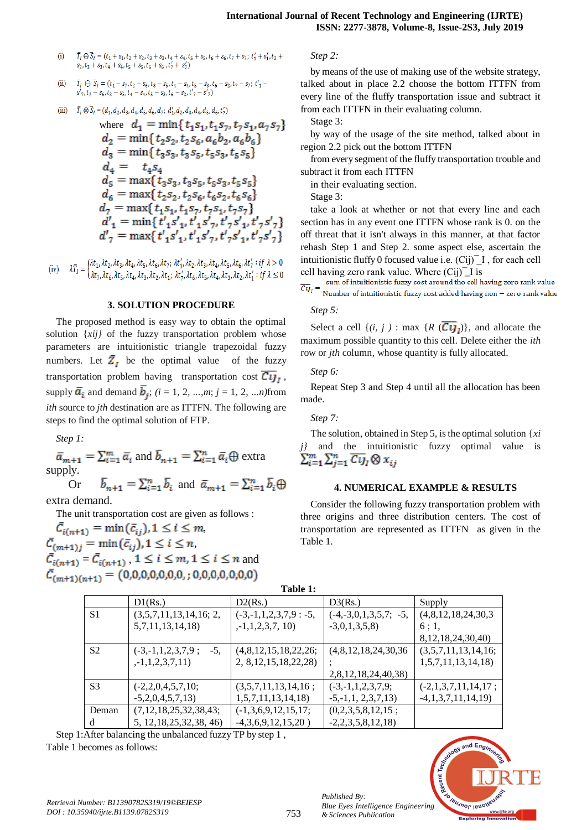$\overline{T}_l \oplus \overline{S}_l = (t_1 + s_1, t_2 + s_2, t_3 + s_3, t_4 + s_4, t_5 + s_5, t_6 + s_6, t_7 + s_7; t_1' + s_1', t_2 +$  $(i)$  $s_2, t_3 + s_3, t_4 + s_4, t_5 + s_5, t_6 + s_6, t_7 + s_7$ 

(ii) 
$$
\overline{T}_I \ominus \overline{S}_I = (t_1 - s_7, t_2 - s_6, t_3 - s_5, t_4 - s_4, t_5 - s_3, t_6 - s_2, t_7 - s_7; t'_1 - s'_7, t_2 - s_6, t_3 - s_5, t_4 - s_4, t_5 - s_3, t_6 - s_2, t'_7 - s'_7)
$$

 $\overline{T}_1 \otimes \overline{S}_1 = (d_1, d_2, d_3, d_4, d_5, d_6, d_7; d'_1, d_2, d_3, d_4, d_5, d_6, t'_7)$  $(iii)$ 

where 
$$
d_1 = \min\{t_1s_1, t_1s_7, t_7s_1, a_7s_7\}
$$
  
\n $d_2 = \min\{t_2s_2, t_2s_6, a_6b_2, a_6b_6\}$   
\n $d_3 = \min\{t_3s_3, t_3s_5, t_5s_3, t_5s_5\}$   
\n $d_4 = t_4s_4$   
\n $d_5 = \max\{t_3s_3, t_3s_5, t_5s_3, t_5s_5\}$   
\n $d_6 = \max\{t_2s_2, t_2s_6, t_6s_2, t_6s_6\}$   
\n $d_7 = \max\{t_1s_1, t_1s_7, t_7s_1, t_7s_7\}$   
\n $d'_1 = \min\{t'_1s'_1, t'_1s'_7, t'_7s'_1, t'_7s'_7\}$ 

(iv)  $\lambda \overline{T}_I = \begin{cases} \lambda t_1, \lambda t_2, \lambda t_3, \lambda t_4, \lambda t_5, \lambda t_6, \lambda t_7; \lambda t_1', \lambda t_2, \lambda t_3, \lambda t_4, \lambda t_5, \lambda t_6, \lambda t_7': i f \lambda > 0 \\ \lambda t_7, \lambda t_6, \lambda t_5, \lambda t_4, \lambda t_3, \lambda t_2, \lambda t_1; \lambda t_7', \lambda t_6, \lambda t_5, \lambda t_4, \lambda t_3, \lambda t_2, \lambda t_1': i f \lambda \leq 0 \end{cases}$ 

#### **3. SOLUTION PROCEDURE**

The proposed method is easy way to obtain the optimal solution {*xij}* of the fuzzy transportation problem whose parameters are intuitionistic triangle trapezoidal fuzzy numbers. Let  $\overline{Z}_t$  be the optimal value of the fuzzy transportation problem having transportation cost  $\overline{C_{U}}_{I}$ , supply  $\overline{a}_i$  and demand  $\overline{b}_i$ ; (i = 1, 2, ...,*m*; j = 1, 2, ...*n*)from *ith* source to *jth* destination are as ITTFN. The following are steps to find the optimal solution of FTP.

*Step 1:* 

$$
\bar{a}_{m+1} = \sum_{i=1}^{m} \bar{a}_i \text{ and } \bar{b}_{n+1} = \sum_{i=1}^{n} \bar{a}_i \oplus \text{ extra}
$$
\nsupply.

\nOr

\n
$$
\bar{b}_{n+1} = \sum_{i=1}^{n} \bar{b}_i \text{ and } \bar{a}_{m+1} = \sum_{i=1}^{n} \bar{b}_i \oplus \bar{b}_i
$$

extra demand.

The unit transportation cost are given as follows :

 $\bar{\mathcal{C}}_{i(n+1)} = \min(\bar{\mathcal{C}}_{ij}), 1 \leq i \leq m,$  $\bar{\mathcal{C}}_{(m+1)i} = \min(\bar{\mathcal{C}}_{ij}), 1 \leq i \leq n,$  $\overline{\tilde{C}_{i(n+1)}} = \overline{\tilde{C}_{i(n+1)}}$ ,  $1 \leq i \leq m, 1 \leq i \leq n$  and  $\bar{\mathcal{C}}_{(m+1)(n+1)} = (0,0,0,0,0,0,0,0,0,0,0,0,0,0)$ 

*Step 2:* 

by means of the use of making use of the website strategy, talked about in place 2.2 choose the bottom ITTFN from every line of the fluffy transportation issue and subtract it from each ITTFN in their evaluating column.

Stage 3:

by way of the usage of the site method, talked about in region 2.2 pick out the bottom ITTFN

from every segment of the fluffy transportation trouble and subtract it from each ITTFN

in their evaluating section.

Stage 3:

take a look at whether or not that every line and each section has in any event one ITTFN whose rank is 0. on the off threat that it isn't always in this manner, at that factor rehash Step 1 and Step 2. some aspect else, ascertain the intuitionistic fluffy 0 focused value i.e.  $(Cij)^T I$ , for each cell cell having zero rank value. Where  $\overline{\text{Cij}}$  is<br>sum of intuitionistic fuzzy cost around the cell having zero rank value

 $\overline{Cij}_I = \frac{\text{sum of intutions}}{\text{Number of intuitionistic fuzzy cost added having non – zero rank value}}$ 

#### *Step 5:*

Select a cell  $\{(i, j) : \max \{R \mid C \cup I_j\} \}$ , and allocate the maximum possible quantity to this cell. Delete either the *ith*  row or *jth* column, whose quantity is fully allocated.

#### *Step 6:*

Repeat Step 3 and Step 4 until all the allocation has been made.

# *Step 7:*

The solution, obtained in Step 5, is the optimal solution {*xi j}* and the intuitionistic fuzzy optimal value is  $\sum_{i=1}^{m} \sum_{j=1}^{n} \overline{C_{ij}}_I \otimes x_{ij}$ 

#### **4. NUMERICAL EXAMPLE & RESULTS**

Consider the following fuzzy transportation problem with three origins and three distribution centers. The cost of transportation are represented as ITTFN as given in the Table 1.

| Table 1:       |                               |                           |                               |                         |  |  |
|----------------|-------------------------------|---------------------------|-------------------------------|-------------------------|--|--|
|                | D1(Rs.)                       | D2(Rs.)                   | D3(Rs.)                       | Supply                  |  |  |
| S1             | (3,5,7,11,13,14,16; 2,        | $(-3,-1,1,2,3,7,9:-5,$    | $(-4, -3, 0, 1, 3, 5, 7; -5,$ | (4,8,12,18,24,30,3)     |  |  |
|                | 5,7,11,13,14,18               | $, -1, 1, 2, 3, 7, 10)$   | $-3,0,1,3,5,8$                | 6;1,                    |  |  |
|                |                               |                           |                               | 8, 12, 18, 24, 30, 40)  |  |  |
| S <sub>2</sub> | $(-3,-1,1,2,3,7,9;$<br>$-5$ . | (4,8,12,15,18,22,26;      | (4,8,12,18,24,30,36)          | (3,5,7,11,13,14,16;     |  |  |
|                | $, -1, 1, 2, 3, 7, 11)$       | 2, 8, 12, 15, 18, 22, 28) |                               | 1, 5, 7, 11, 13, 14, 18 |  |  |
|                |                               |                           | 2,8,12,18,24,40,38)           |                         |  |  |
| S <sub>3</sub> | $(-2,2,0,4,5,7,10;$           | (3,5,7,11,13,14,16;       | $(-3,-1,1,2,3,7,9;$           | $(-2,1,3,7,11,14,17;$   |  |  |
|                | $-5,2,0,4,5,7,13$             | 1, 5, 7, 11, 13, 14, 18   | $-5, -1, 1, 2, 3, 7, 13$      | $-4,1,3,7,11,14,19$     |  |  |
| Deman          | (7,12,18,25,32,38,43;         | $(-1,3,6,9,12,15,17;$     | (0,2,3,5,8,12,15;             |                         |  |  |
| d              | 5, 12, 18, 25, 32, 38, 46)    | $-4,3,6,9,12,15,20)$      | $-2,2,3,5,8,12,18$            |                         |  |  |

Step 1:After balancing the unbalanced fuzzy TP by step 1 , Table 1 becomes as follows:

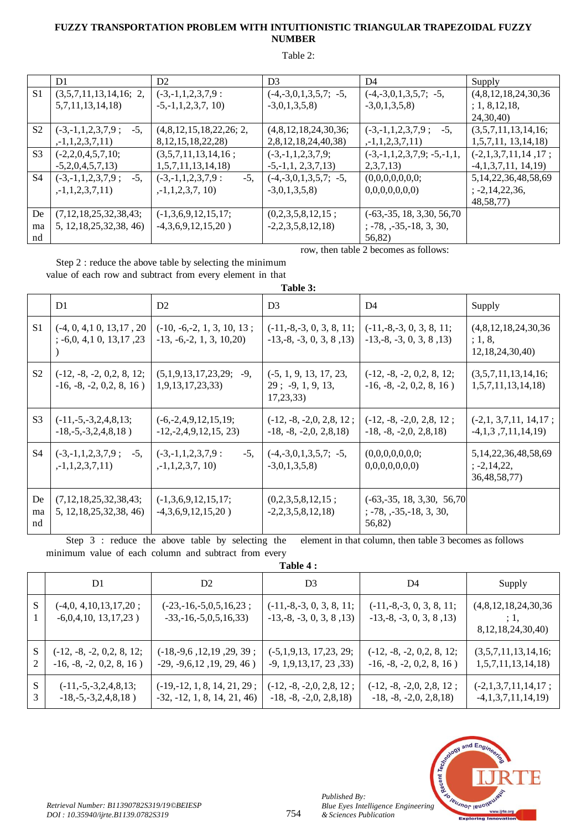# FUZZY TRANSPORTATION PROBLEM WITH INTUITIONISTIC TRIANGULAR TRAPEZOIDAL FUZZY **NUMBER**

#### Table 2:

|                | D <sub>1</sub>                | D <sub>2</sub>                 | D <sub>3</sub>                | D4                                                    | Supply                    |
|----------------|-------------------------------|--------------------------------|-------------------------------|-------------------------------------------------------|---------------------------|
| S <sub>1</sub> | (3,5,7,11,13,14,16; 2,        | $(-3,-1,1,2,3,7,9)$ :          | $(-4, -3, 0, 1, 3, 5, 7; -5,$ | $(-4,-3,0,1,3,5,7; -5,$                               | (4,8,12,18,24,30,36)      |
|                | 5,7,11,13,14,18               | $-5, -1, 1, 2, 3, 7, 10$       | $-3,0,1,3,5,8$                | $-3,0,1,3,5,8$                                        | ; 1, 8, 12, 18,           |
|                |                               |                                |                               |                                                       | 24, 30, 40)               |
| S <sub>2</sub> | $-5$ .<br>$(-3,-1,1,2,3,7,9;$ | (4,8,12,15,18,22,26; 2,        | (4,8,12,18,24,30,36;          | $-5.$<br>$(-3,-1,1,2,3,7,9;$                          | (3,5,7,11,13,14,16;       |
|                | $, -1, 1, 2, 3, 7, 11)$       | 8, 12, 15, 18, 22, 28)         | 2,8,12,18,24,40,38)           | $, -1, 1, 2, 3, 7, 11)$                               | 1, 5, 7, 11, 13, 14, 18   |
| S <sub>3</sub> | $(-2,2,0,4,5,7,10;$           | (3,5,7,11,13,14,16;            | $(-3,-1,1,2,3,7,9;$           | $(-3,-1,1,2,3,7,9; -5,-1,1,$                          | $(-2,1,3,7,11,14,17;$     |
|                | $-5,2,0,4,5,7,13$             | 1, 5, 7, 11, 13, 14, 18        | $-5, -1, 1, 2, 3, 7, 13$      | 2,3,7,13                                              | $-4,1,3,7,11,14,19$       |
| S4             | $(-3,-1,1,2,3,7,9;$<br>$-5.$  | $-5,$<br>$(-3,-1,1,2,3,7,9)$ : | $(-4,-3,0,1,3,5,7; -5,$       | (0,0,0,0,0,0,0;                                       | 5, 14, 22, 36, 48, 58, 69 |
|                | $, -1, 1, 2, 3, 7, 11)$       | $, -1, 1, 2, 3, 7, 10)$        | $-3,0,1,3,5,8$                | 0,0,0,0,0,0,0)                                        | $; -2, 14, 22, 36,$       |
|                |                               |                                |                               |                                                       | 48,58,77)                 |
| De             | (7,12,18,25,32,38,43;         | $(-1,3,6,9,12,15,17;$          | (0,2,3,5,8,12,15;             | $(-63,-35, 18, 3,30, 56,70)$                          |                           |
| ma             | 5, 12, 18, 25, 32, 38, 46)    | $-4,3,6,9,12,15,20)$           | $-2, 2, 3, 5, 8, 12, 18$      | $\frac{1}{2}$ , -78, $\frac{1}{2}$ , -35, -18, 3, 30, |                           |
| nd             |                               |                                |                               | 56,82)                                                |                           |

row, then table 2 becomes as follows:

Step 2 : reduce the above table by selecting the minimum value of each row and subtract from every element in that

|                | Table 3:                                                        |                                                              |                                                               |                                                                               |                                                                             |  |
|----------------|-----------------------------------------------------------------|--------------------------------------------------------------|---------------------------------------------------------------|-------------------------------------------------------------------------------|-----------------------------------------------------------------------------|--|
|                | D <sub>1</sub>                                                  | D2                                                           | D <sub>3</sub>                                                | D4                                                                            | Supply                                                                      |  |
| S <sub>1</sub> | $(-4, 0, 4, 1, 0, 13, 17, 20)$<br>$\div$ -6,0, 4,1 0, 13,17, 23 | $(-10, -6, -2, 1, 3, 10, 13;$<br>$-13, -6, -2, 1, 3, 10, 20$ | $(-11,-8,-3, 0, 3, 8, 11;$<br>$-13, -8, -3, 0, 3, 8, 13$      | $(-11,-8,-3, 0, 3, 8, 11;$<br>$-13, -8, -3, 0, 3, 8, 13$                      | (4,8,12,18,24,30,36)<br>; 1, 8,<br>12,18,24,30,40                           |  |
| S <sub>2</sub> | $(-12, -8, -2, 0, 2, 8, 12;$<br>$-16, -8, -2, 0, 2, 8, 16$      | (5,1,9,13,17,23,29;<br>$-9.$<br>1,9,13,17,23,33)             | $(-5, 1, 9, 13, 17, 23,$<br>$29$ ; -9, 1, 9, 13,<br>17,23,33) | $(-12, -8, -2, 0, 2, 8, 12;$<br>$-16, -8, -2, 0, 2, 8, 16$                    | (3,5,7,11,13,14,16;<br>1, 5, 7, 11, 13, 14, 18                              |  |
| S <sub>3</sub> | $(-11,-5,-3,2,4,8,13;$<br>$-18, -5, -3, 2, 4, 8, 18)$           | $(-6,-2,4,9,12,15,19;$<br>$-12, -2, 4, 9, 12, 15, 23$        | $(-12, -8, -2, 0, 2, 8, 12)$<br>$-18, -8, -2, 0, 2, 8, 18$    | $(-12, -8, -2, 0, 2, 8, 12;$<br>$-18, -8, -2, 0, 2, 8, 18$                    | $(-2,1, 3,7,11, 14,17;$<br>$-4,1,3,7,11,14,19$                              |  |
| S4             | $(-3,-1,1,2,3,7,9;$<br>$-5$ .<br>$, -1, 1, 2, 3, 7, 11)$        | $(-3,-1,1,2,3,7,9)$ :<br>$-5.$<br>$, -1, 1, 2, 3, 7, 10)$    | $(-4, -3, 0, 1, 3, 5, 7; -5,$<br>$-3,0,1,3,5,8$               | (0,0,0,0,0,0,0;<br>0,0,0,0,0,0,0)                                             | 5, 14, 22, 36, 48, 58, 69<br>$\frac{1}{2}$ , -2, 14, 22,<br>36, 48, 58, 77) |  |
| De<br>ma<br>nd | (7,12,18,25,32,38,43;<br>5, 12, 18, 25, 32, 38, 46)             | $(-1,3,6,9,12,15,17;$<br>$-4,3,6,9,12,15,20)$                | (0,2,3,5,8,12,15;<br>$-2,2,3,5,8,12,18$                       | $(-63,-35, 18, 3,30, 56,70)$<br>$\div$ -78, $\div$ -35, -18, 3, 30,<br>56,82) |                                                                             |  |

Step 3 : reduce the above table by selecting the element in that column, then table 3 becomes as follows minimum value of each column and subtract from every

| 'able |  |
|-------|--|
|       |  |

|        | D1                                                         | D <sub>2</sub>                                                | D <sub>3</sub>                                             | D4                                                         | Supply                                                 |
|--------|------------------------------------------------------------|---------------------------------------------------------------|------------------------------------------------------------|------------------------------------------------------------|--------------------------------------------------------|
|        | $(-4,0, 4,10,13,17,20;$<br>$-6,0,4,10, 13,17,23$ )         | $(-23,-16,-5,0,5,16,23;$<br>$-33, -16, -5, 0, 5, 16, 33$      | $(-11,-8,-3, 0, 3, 8, 11;$<br>$-13, -8, -3, 0, 3, 8, 13$   | $(-11,-8,-3, 0, 3, 8, 11;$<br>$-13, -8, -3, 0, 3, 8, 13$   | (4,8,12,18,24,30,36)<br>; 1,<br>8, 12, 18, 24, 30, 40) |
| 2      | $(-12, -8, -2, 0, 2, 8, 12;$<br>$-16, -8, -2, 0, 2, 8, 16$ | $(-18,-9,6,12,19,29,39;$<br>$-29, -9, 6, 12, 19, 29, 46)$     | $(-5,1,9,13, 17,23, 29;$<br>$-9, 1, 9, 13, 17, 23, 33$     | $(-12, -8, -2, 0, 2, 8, 12;$<br>$-16, -8, -2, 0, 2, 8, 16$ | (3,5,7,11,13,14,16;<br>1, 5, 7, 11, 13, 14, 18         |
| S<br>3 | $(-11,-5,-3,2,4,8,13;$<br>$-18, -5, -3, 2, 4, 8, 18)$      | $(-19,-12, 1, 8, 14, 21, 29;$<br>$-32, -12, 1, 8, 14, 21, 46$ | $(-12, -8, -2, 0, 2, 8, 12;$<br>$-18, -8, -2, 0, 2, 8, 18$ | $(-12, -8, -2, 0, 2, 8, 12;$<br>$-18, -8, -2, 0, 2, 8, 18$ | $(-2,1,3,7,11,14,17;$<br>$-4,1,3,7,11,14,19$           |



Published By: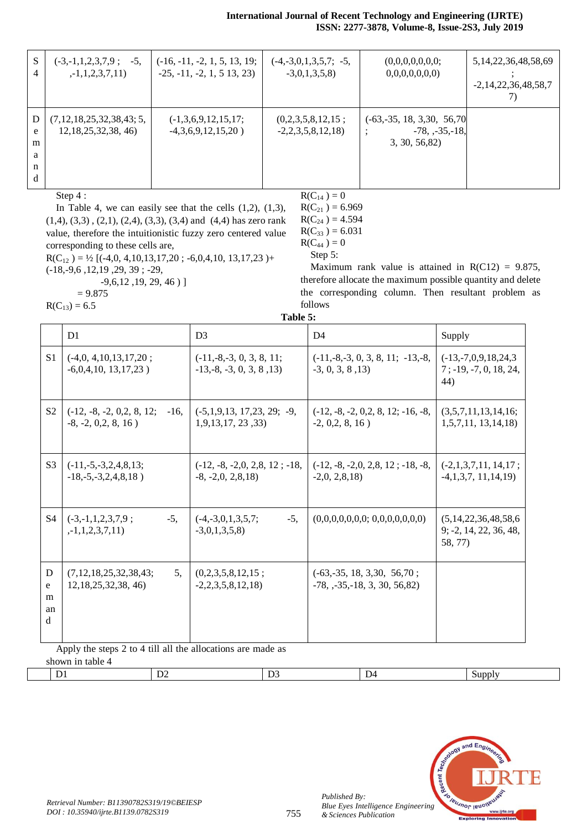| S<br>4                     | $(-3,-1,1,2,3,7,9;$<br>$-5.$<br>$, -1, 1, 2, 3, 7, 11)$ | $(-16, -11, -2, 1, 5, 13, 19;$<br>$-25, -11, -2, 1, 513, 23$ | $(-4,-3,0,1,3,5,7; -5,$<br>$-3,0,1,3,5,8$ | (0,0,0,0,0,0,0;<br>0,0,0,0,0,0,0)                                  | 5, 14, 22, 36, 48, 58, 69<br>$-2,14,22,36,48,58,7$ |
|----------------------------|---------------------------------------------------------|--------------------------------------------------------------|-------------------------------------------|--------------------------------------------------------------------|----------------------------------------------------|
| D<br>e<br>m<br>a<br>n<br>d | (7,12,18,25,32,38,43;5,<br>12, 18, 25, 32, 38, 46)      | $(-1,3,6,9,12,15,17;$<br>$-4,3,6,9,12,15,20)$                | (0,2,3,5,8,12,15;<br>$-2,2,3,5,8,12,18$   | $(-63,-35, 18, 3,30, 56,70)$<br>$-78, -35, -18,$<br>3, 30, 56, 82) |                                                    |

Step 4 :

In Table 4, we can easily see that the cells  $(1,2)$ ,  $(1,3)$ , (1,4), (3,3) , (2,1), (2,4), (3,3), (3,4) and (4,4) has zero rank value, therefore the intuitionistic fuzzy zero centered value corresponding to these cells are,

 $R(C_{12}) = \frac{1}{2} [(-4,0, 4,10,13,17,20; -6,0,4,10, 13,17,23) +$ (-18,-9,6 ,12,19 ,29, 39 ; -29,

-9,6,12 ,19, 29, 46 ) ]

 $R(C_{21}) = 6.969$  $R(C_{24}) = 4.594$ 

 $R(C_{14}) = 0$ 

 $R(C_{33}) = 6.031$  $R(C_{44}) = 0$ 

Step 5:

Maximum rank value is attained in  $R(C12) = 9.875$ , therefore allocate the maximum possible quantity and delete the corresponding column. Then resultant problem as follows

|                   | $= 9.875$ |
|-------------------|-----------|
| $R(C_{13}) = 6.5$ |           |

**Table 5:**

|                                  | D <sub>1</sub>                                                  | D <sub>3</sub>                                          | D <sub>4</sub>                                                   | Supply                                                     |  |  |  |
|----------------------------------|-----------------------------------------------------------------|---------------------------------------------------------|------------------------------------------------------------------|------------------------------------------------------------|--|--|--|
| S <sub>1</sub>                   | $(-4,0, 4,10,13,17,20;$<br>$-6,0,4,10, 13,17,23$ )              | $(-11,-8,-3, 0, 3, 8, 11;$<br>$-13,-8, -3, 0, 3, 8, 13$ | $(-11,-8,-3, 0, 3, 8, 11; -13,-8,$<br>$-3, 0, 3, 8, 13$          | $(-13,-7,0,9,18,24,3)$<br>$7$ ; -19, -7, 0, 18, 24,<br>44) |  |  |  |
| S <sub>2</sub>                   | $(-12, -8, -2, 0, 2, 8, 12;$<br>$-16.$<br>$-8, -2, 0, 2, 8, 16$ | $(-5,1,9,13, 17,23, 29; -9,$<br>1,9,13,17,23,33         | $(-12, -8, -2, 0, 2, 8, 12, -16, -8,$<br>$-2, 0.2, 8, 16$        | (3,5,7,11,13,14,16;<br>1, 5, 7, 11, 13, 14, 18             |  |  |  |
| <b>S</b> 3                       | $(-11,-5,-3,2,4,8,13;$<br>$-18, -5, -3, 2, 4, 8, 18)$           | $(-12, -8, -2, 0, 2, 8, 12, -18,$<br>$-8, -2.0, 2.8.18$ | $(-12, -8, -2, 0, 2, 8, 12, -18, -8,$<br>$-2,0, 2,8,18$          | $(-2,1,3,7,11,14,17;$<br>$-4,1,3,7,11,14,19$               |  |  |  |
| <b>S4</b>                        | $-5.$<br>$(-3,-1,1,2,3,7,9;$<br>$, -1, 1, 2, 3, 7, 11)$         | $-5.$<br>$(-4,-3,0,1,3,5,7;$<br>$-3,0,1,3,5,8$          | (0,0,0,0,0,0,0; 0,0,0,0,0,0,0)                                   | (5,14,22,36,48,58,6)<br>$9; -2, 14, 22, 36, 48,$<br>58.77) |  |  |  |
| D<br>e<br>m<br>an<br>$\mathbf d$ | (7,12,18,25,32,38,43;<br>5.<br>12, 18, 25, 32, 38, 46)          | (0,2,3,5,8,12,15)<br>$-2, 2, 3, 5, 8, 12, 18$           | $(-63,-35, 18, 3,30, 56,70)$ ;<br>$-78, -35, -18, 3, 30, 56, 82$ |                                                            |  |  |  |
|                                  | Apply the steps 2 to 4 till all the allocations are made as     |                                                         |                                                                  |                                                            |  |  |  |

Apply the steps 2 to 4 till all the allocations are made as shown in table 4

| $\sim$ | ∽ | $\mathbf{v}$<br>. .<br>- |  |
|--------|---|--------------------------|--|
|        |   |                          |  |



*Published By:*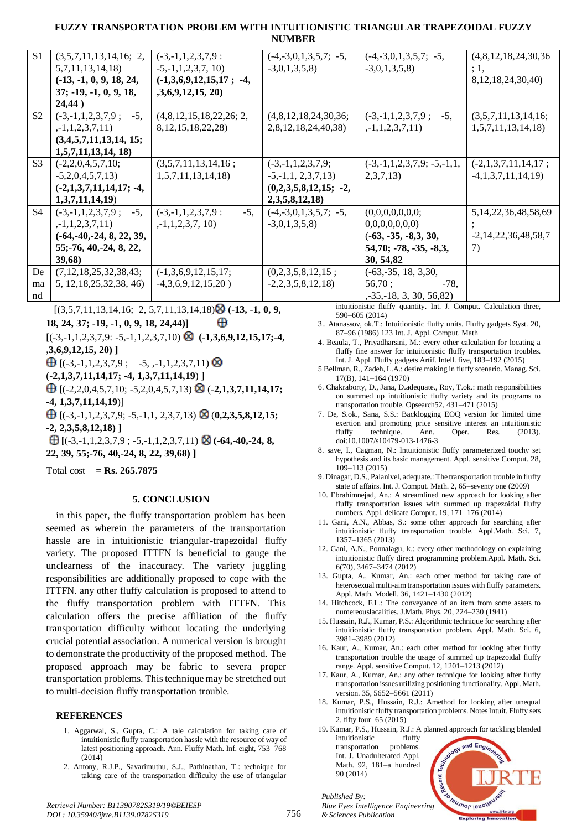# FUZZY TRANSPORTATION PROBLEM WITH INTUITIONISTIC TRIANGULAR TRAPEZOIDAL FUZZY **NUMBER**

| S <sub>1</sub> | (3,5,7,11,13,14,16; 2,        | $(-3,-1,1,2,3,7,9)$ :          | $(-4, -3, 0, 1, 3, 5, 7; -5,$ | $(-4, -3, 0, 1, 3, 5, 7; -5,$ | (4,8,12,18,24,30,36)      |
|----------------|-------------------------------|--------------------------------|-------------------------------|-------------------------------|---------------------------|
|                | 5,7,11,13,14,18               | $-5, -1, 1, 2, 3, 7, 10$       | $-3,0,1,3,5,8$                | $-3,0,1,3,5,8$                | ;1,                       |
|                | $(-13, -1, 0, 9, 18, 24,$     | $(-1,3,6,9,12,15,17; -4,$      |                               |                               | 8, 12, 18, 24, 30, 40)    |
|                | $37; -19, -1, 0, 9, 18,$      | ,3,6,9,12,15,20)               |                               |                               |                           |
|                | 24,44)                        |                                |                               |                               |                           |
| S <sub>2</sub> | $(-3,-1,1,2,3,7,9;$<br>$-5$ , | (4,8,12,15,18,22,26; 2,        | (4,8,12,18,24,30,36;          | $(-3,-1,1,2,3,7,9;$<br>$-5.$  | (3,5,7,11,13,14,16;       |
|                | $, -1, 1, 2, 3, 7, 11)$       | 8, 12, 15, 18, 22, 28)         | 2,8,12,18,24,40,38)           | $, -1, 1, 2, 3, 7, 11)$       | 1, 5, 7, 11, 13, 14, 18   |
|                | (3,4,5,7,11,13,14,15;         |                                |                               |                               |                           |
|                | 1, 5, 7, 11, 13, 14, 18       |                                |                               |                               |                           |
| S <sub>3</sub> | $(-2,2,0,4,5,7,10;$           | (3,5,7,11,13,14,16;            | $(-3,-1,1,2,3,7,9;$           | $(-3,-1,1,2,3,7,9; -5,-1,1,$  | $(-2,1,3,7,11,14,17;$     |
|                | $-5,2,0,4,5,7,13$             | 1, 5, 7, 11, 13, 14, 18        | $-5, -1, 1, 2, 3, 7, 13$      | 2,3,7,13)                     | $-4,1,3,7,11,14,19$       |
|                | $(-2,1,3,7,11,14,17; -4,$     |                                | $(0,2,3,5,8,12,15; -2,$       |                               |                           |
|                | 1,3,7,11,14,19                |                                | 2,3,5,8,12,18                 |                               |                           |
| S <sub>4</sub> | $-5,$<br>$(-3,-1,1,2,3,7,9;$  | $-5,$<br>$(-3,-1,1,2,3,7,9)$ : | $(-4, -3, 0, 1, 3, 5, 7; -5,$ | (0,0,0,0,0,0,0;               | 5, 14, 22, 36, 48, 58, 69 |
|                | $, -1, 1, 2, 3, 7, 11)$       | $, -1, 1, 2, 3, 7, 10)$        | $-3,0,1,3,5,8$                | 0,0,0,0,0,0,0)                |                           |
|                | $(-64,-40,-24, 8, 22, 39,$    |                                |                               | $(-63, -35, -8, 3, 30,$       | $-2,14,22,36,48,58,7$     |
|                | 55;-76, 40, -24, 8, 22,       |                                |                               | $54,70; -78, -35, -8,3,$      | 7)                        |
|                | 39,68                         |                                |                               | 30, 54, 82                    |                           |
| De             | (7,12,18,25,32,38,43;         | $(-1,3,6,9,12,15,17;$          | (0,2,3,5,8,12,15;             | $(-63,-35, 18, 3,30,$         |                           |
| ma             | 5, 12, 18, 25, 32, 38, 46)    | $-4,3,6,9,12,15,20)$           | $-2,2,3,5,8,12,18$            | $-78,$<br>56,70;              |                           |
| nd             |                               |                                |                               | $-35 - 18$ , 3, 30, 56, 82)   |                           |

 $[(3,5,7,11,13,14,16; 2,5,7,11,13,14,18) \otimes (-13,-1,0,9,$ 

18, 24, 37; -19, -1, 0, 9, 18, 24, 44)] ⊕

 $[(-3,-1,1,2,3,7,9; -5,-1,1,2,3,7,10) \otimes (-1,3,6,9,12,15,17; -4,$  $,3,6,9,12,15,20)$ ]

 $\bigoplus$  [(-3,-1,1,2,3,7,9; -5, ,-1,1,2,3,7,11)  $\otimes$ 

 $(-2,1,3,7,11,14,17; -4, 1,3,7,11,14,19)$ 

 $\bigoplus$  [(-2,2,0,4,5,7,10; -5,2,0,4,5,7,13)  $\otimes$  (-2,1,3,7,11,14,17;  $-4, 1, 3, 7, 11, 14, 19$ ]

 $\bigoplus$  [(-3,-1,1,2,3,7,9; -5,-1,1, 2,3,7,13)  $\otimes$  (0,2,3,5,8,12,15;  $-2, 2, 3, 5, 8, 12, 18$ 

 $\bigoplus$  [(-3,-1,1,2,3,7,9; -5,-1,1,2,3,7,11)  $\otimes$  (-64,-40,-24, 8, 22, 39, 55:-76, 40, -24, 8, 22, 39, 68) 1

Total cost = Rs. 265.7875

#### 5. CONCLUSION

in this paper, the fluffy transportation problem has been seemed as wherein the parameters of the transportation hassle are in intuitionistic triangular-trapezoidal fluffy variety. The proposed ITTFN is beneficial to gauge the unclearness of the inaccuracy. The variety juggling responsibilities are additionally proposed to cope with the ITTFN. any other fluffy calculation is proposed to attend to the fluffy transportation problem with ITTFN. This calculation offers the precise affiliation of the fluffy transportation difficulty without locating the underlying crucial potential association. A numerical version is brought to demonstrate the productivity of the proposed method. The proposed approach may be fabric to severa proper transportation problems. This technique may be stretched out to multi-decision fluffy transportation trouble.

#### **REFERENCES**

- 1. Aggarwal, S., Gupta, C.: A tale calculation for taking care of intuitionistic fluffy transportation hassle with the resource of way of latest positioning approach. Ann. Fluffy Math. Inf. eight, 753-768  $(2014)$
- 2. Antony, R.J.P., Savarimuthu, S.J., Pathinathan, T.: technique for taking care of the transportation difficulty the use of triangular

intuitionistic fluffy quantity. Int. J. Comput. Calculation three, 590-605 (2014)

- 3. Atanassov, ok.T.: Intuitionistic fluffy units. Fluffy gadgets Syst. 20, 87-96 (1986) 123 Int. J. Appl. Comput. Math
- 4. Beaula, T., Priyadharsini, M.: every other calculation for locating a fluffy fine answer for intuitionistic fluffy transportation troubles. Int. J. Appl. Fluffy gadgets Artif. Intell. five, 183-192 (2015)
- 5 Bellman, R., Zadeh, L.A.: desire making in fluffy scenario. Manag. Sci.  $17(B)$ ,  $141-164(1970)$
- 6. Chakraborty, D., Jana, D.adequate., Roy, T.ok.: math responsibilities on summed up intuitionistic fluffy variety and its programs to transportation trouble. Opsearch52, 431-471 (2015)
- 7. De, S.ok., Sana, S.S.: Backlogging EOQ version for limited time exertion and promoting price sensitive interest an intuitionistic fluffy technique. Ann. Res.  $(2013)$ . Oper. doi:10.1007/s10479-013-1476-3
- 8. save, I., Cagman, N.: Intuitionistic fluffy parameterized touchy set hypothesis and its basic management. Appl. sensitive Comput. 28,  $109 - 113(2015)$
- 9. Dinagar, D.S., Palanivel, adequate.: The transportation trouble in fluffy state of affairs. Int. J. Comput. Math. 2, 65-seventy one (2009)
- 10. Ebrahimnejad, An.: A streamlined new approach for looking after fluffy transportation issues with summed up trapezoidal fluffy numbers. Appl. delicate Comput. 19, 171-176 (2014)
- 11. Gani, A.N., Abbas, S.: some other approach for searching after intuitionistic fluffy transportation trouble. Appl.Math. Sci. 7,  $1357 - 1365(2013)$
- 12. Gani, A.N., Ponnalagu, k.: every other methodology on explaining intuitionistic fluffy direct programming problem.Appl. Math. Sci.  $6(70), 3467 - 3474(2012)$
- 13. Gupta, A., Kumar, An.: each other method for taking care of heterosexual multi-aim transportation issues with fluffy parameters. Appl. Math. Modell. 36, 1421-1430 (2012)
- 14. Hitchcock, F.L.: The conveyance of an item from some assets to numereouslacalities. J.Math. Phys. 20, 224-230 (1941)
- 15. Hussain, R.J., Kumar, P.S.: Algorithmic technique for searching after intuitionistic fluffy transportation problem. Appl. Math. Sci. 6, 3981-3989 (2012)
- 16. Kaur, A., Kumar, An.: each other method for looking after fluffy transportation trouble the usage of summed up trapezoidal fluffy range. Appl. sensitive Comput. 12, 1201-1213 (2012)
- 17. Kaur, A., Kumar, An.: any other technique for looking after fluffy transportation issues utilizing positioning functionality. Appl. Math. version. 35, 5652-5661 (2011)
- 18. Kumar, P.S., Hussain, R.J.: Amethod for looking after unequal intuitionistic fluffy transportation problems. Notes Intuit. Fluffy sets 2. fifty four-65  $(2015)$

19. Kumar, P.S., Hussain, R.J.: A planned approach for tackling blended intuitionistic fluffy

problems. transportation Int. J. Unadulterated Appl. Math. 92, 181-a hundred 90 (2014)

Published By: